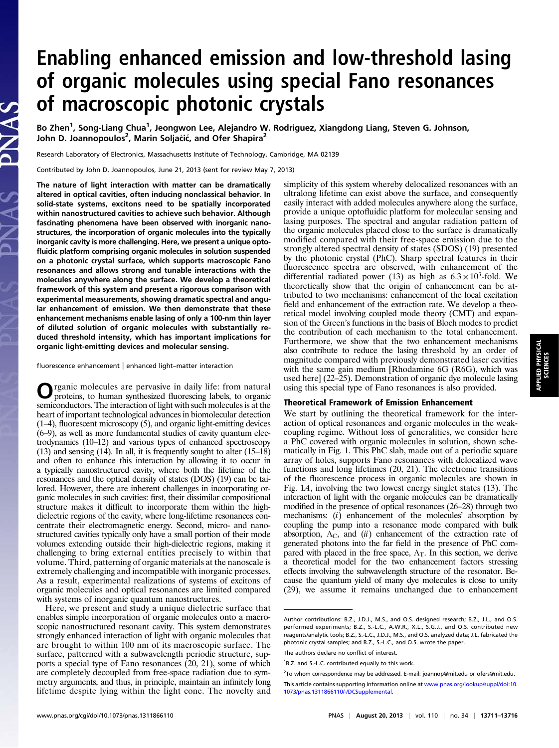# Enabling enhanced emission and low-threshold lasing of organic molecules using special Fano resonances of macroscopic photonic crystals

Bo Zhen<sup>1</sup>, Song-Liang Chua<sup>1</sup>, Jeongwon Lee, Alejandro W. Rodriguez, Xiangdong Liang, Steven G. Johnson, John D. Joannopoulos<sup>2</sup>, Marin Soljačić, and Ofer Shapira<sup>2</sup>

Research Laboratory of Electronics, Massachusetts Institute of Technology, Cambridge, MA 02139

Contributed by John D. Joannopoulos, June 21, 2013 (sent for review May 7, 2013)

The nature of light interaction with matter can be dramatically altered in optical cavities, often inducing nonclassical behavior. In solid-state systems, excitons need to be spatially incorporated within nanostructured cavities to achieve such behavior. Although fascinating phenomena have been observed with inorganic nanostructures, the incorporation of organic molecules into the typically inorganic cavity is more challenging. Here, we present a unique optofluidic platform comprising organic molecules in solution suspended on a photonic crystal surface, which supports macroscopic Fano resonances and allows strong and tunable interactions with the molecules anywhere along the surface. We develop a theoretical framework of this system and present a rigorous comparison with experimental measurements, showing dramatic spectral and angular enhancement of emission. We then demonstrate that these enhancement mechanisms enable lasing of only a 100-nm thin layer of diluted solution of organic molecules with substantially reduced threshold intensity, which has important implications for organic light-emitting devices and molecular sensing.

fluorescence enhancement | enhanced light–matter interaction

rganic molecules are pervasive in daily life: from natural proteins, to human synthesized fluorescing labels, to organic semiconductors. The interaction of light with such molecules is at the heart of important technological advances in biomolecular detection (1–4), fluorescent microscopy (5), and organic light-emitting devices (6–9), as well as more fundamental studies of cavity quantum electrodynamics (10–12) and various types of enhanced spectroscopy (13) and sensing (14). In all, it is frequently sought to alter (15–18) and often to enhance this interaction by allowing it to occur in a typically nanostructured cavity, where both the lifetime of the resonances and the optical density of states (DOS) (19) can be tailored. However, there are inherent challenges in incorporating organic molecules in such cavities: first, their dissimilar compositional structure makes it difficult to incorporate them within the highdielectric regions of the cavity, where long-lifetime resonances concentrate their electromagnetic energy. Second, micro- and nanostructured cavities typically only have a small portion of their mode volumes extending outside their high-dielectric regions, making it challenging to bring external entities precisely to within that volume. Third, patterning of organic materials at the nanoscale is extremely challenging and incompatible with inorganic processes. As a result, experimental realizations of systems of excitons of organic molecules and optical resonances are limited compared with systems of inorganic quantum nanostructures.

Here, we present and study a unique dielectric surface that enables simple incorporation of organic molecules onto a macroscopic nanostructured resonant cavity. This system demonstrates strongly enhanced interaction of light with organic molecules that are brought to within 100 nm of its macroscopic surface. The surface, patterned with a subwavelength periodic structure, supports a special type of Fano resonances (20, 21), some of which are completely decoupled from free-space radiation due to symmetry arguments, and thus, in principle, maintain an infinitely long lifetime despite lying within the light cone. The novelty and simplicity of this system whereby delocalized resonances with an ultralong lifetime can exist above the surface, and consequently easily interact with added molecules anywhere along the surface, provide a unique optofluidic platform for molecular sensing and lasing purposes. The spectral and angular radiation pattern of the organic molecules placed close to the surface is dramatically modified compared with their free-space emission due to the strongly altered spectral density of states (SDOS) (19) presented by the photonic crystal (PhC). Sharp spectral features in their fluorescence spectra are observed, with enhancement of the differential radiated power (13) as high as  $6.3 \times 10^3$ -fold. We theoretically show that the origin of enhancement can be attributed to two mechanisms: enhancement of the local excitation field and enhancement of the extraction rate. We develop a theoretical model involving coupled mode theory (CMT) and expansion of the Green's functions in the basis of Bloch modes to predict the contribution of each mechanism to the total enhancement. Furthermore, we show that the two enhancement mechanisms also contribute to reduce the lasing threshold by an order of magnitude compared with previously demonstrated laser cavities with the same gain medium [Rhodamine 6G (R6G), which was used here] (22–25). Demonstration of organic dye molecule lasing using this special type of Fano resonances is also provided.

#### Theoretical Framework of Emission Enhancement

We start by outlining the theoretical framework for the interaction of optical resonances and organic molecules in the weakcoupling regime. Without loss of generalities, we consider here a PhC covered with organic molecules in solution, shown schematically in Fig. 1. This PhC slab, made out of a periodic square array of holes, supports Fano resonances with delocalized wave functions and long lifetimes (20, 21). The electronic transitions of the fluorescence process in organic molecules are shown in Fig. 1A, involving the two lowest energy singlet states (13). The interaction of light with the organic molecules can be dramatically modified in the presence of optical resonances (26–28) through two mechanisms: (i) enhancement of the molecules' absorption by coupling the pump into a resonance mode compared with bulk absorption,  $\Lambda_C$ , and (ii) enhancement of the extraction rate of generated photons into the far field in the presence of PhC compared with placed in the free space,  $\Lambda$ <sub>T</sub>. In this section, we derive a theoretical model for the two enhancement factors stressing effects involving the subwavelength structure of the resonator. Because the quantum yield of many dye molecules is close to unity (29), we assume it remains unchanged due to enhancement

Author contributions: B.Z., J.D.J., M.S., and O.S. designed research; B.Z., J.L., and O.S. performed experiments; B.Z., S.-L.C., A.W.R., X.L., S.G.J., and O.S. contributed new reagents/analytic tools; B.Z., S.-L.C., J.D.J., M.S., and O.S. analyzed data; J.L. fabricated the photonic crystal samples; and B.Z., S.-L.C., and O.S. wrote the paper.

The authors declare no conflict of interest

<sup>&</sup>lt;sup>1</sup>B.Z. and S.-L.C. contributed equally to this work.

<sup>&</sup>lt;sup>2</sup>To whom correspondence may be addressed. E-mail: [joannop@mit.edu](mailto:joannop@mit.edu) or [ofers@mit.edu.](mailto:ofers@mit.edu)

This article contains supporting information online at [www.pnas.org/lookup/suppl/doi:10.](http://www.pnas.org/lookup/suppl/doi:10.1073/pnas.1311866110/-/DCSupplemental) [1073/pnas.1311866110/-/DCSupplemental](http://www.pnas.org/lookup/suppl/doi:10.1073/pnas.1311866110/-/DCSupplemental).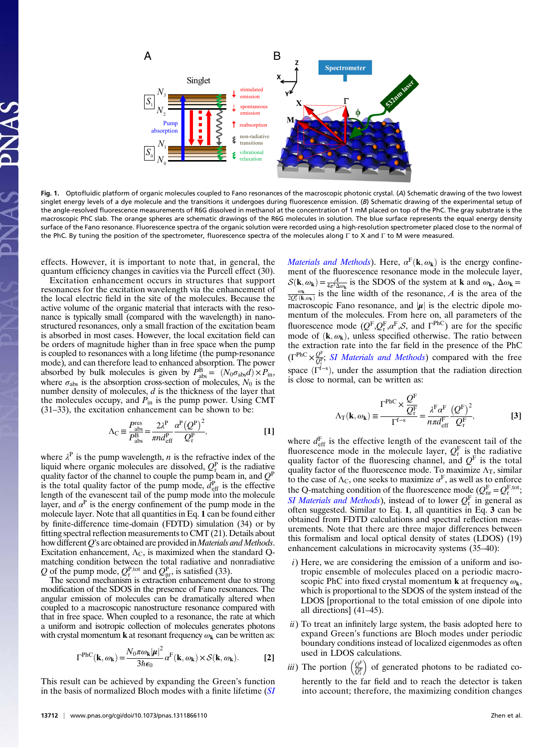

Fig. 1. Optofluidic platform of organic molecules coupled to Fano resonances of the macroscopic photonic crystal. (A) Schematic drawing of the two lowest singlet energy levels of a dye molecule and the transitions it undergoes during fluorescence emission. (B) Schematic drawing of the experimental setup of the angle-resolved fluorescence measurements of R6G dissolved in methanol at the concentration of 1 mM placed on top of the PhC. The gray substrate is the macroscopic PhC slab. The orange spheres are schematic drawings of the R6G molecules in solution. The blue surface represents the equal energy density surface of the Fano resonance. Fluorescence spectra of the organic solution were recorded using a high-resolution spectrometer placed close to the normal of the PhC. By tuning the position of the spectrometer, fluorescence spectra of the molecules along Γ to X and Γ to M were measured.

effects. However, it is important to note that, in general, the quantum efficiency changes in cavities via the Purcell effect (30).

Excitation enhancement occurs in structures that support resonances for the excitation wavelength via the enhancement of the local electric field in the site of the molecules. Because the active volume of the organic material that interacts with the resonance is typically small (compared with the wavelength) in nanostructured resonances, only a small fraction of the excitation beam is absorbed in most cases. However, the local excitation field can be orders of magnitude higher than in free space when the pump is coupled to resonances with a long lifetime (the pump-resonance mode), and can therefore lead to enhanced absorption. The power absorbed by bulk molecules is given by  $P_{\text{abs}}^{\text{B}} = (N_0 \sigma_{\text{abs}} d) \times P_{\text{in}}$ , where  $\sigma_{\text{abs}}$  is the absorption cross-section of molecules,  $N_0$  is the number density of molecules,  $d$  is the thickness of the layer that the molecules occupy, and  $P_{\text{in}}$  is the pump power. Using CMT (31–33), the excitation enhancement can be shown to be:

$$
\Lambda_{\rm C} \equiv \frac{P_{\rm abs}^{\rm res}}{P_{\rm abs}^{\rm B}} = \frac{2\lambda^{\rm P}}{\pi n d_{\rm eff}^{\rm P}} \frac{\alpha^{\rm P} \left(Q^{\rm P}\right)^2}{Q_{\rm r}^{\rm P}},\tag{1}
$$

where  $\lambda^P$  is the pump wavelength, *n* is the refractive index of the liquid where organic molecules are dissolved,  $Q_{r}^{P}$  is the radiative quality factor of the channel to couple the pump beam in, and  $Q^P$ is the total quality factor of the pump mode,  $d_{\text{eff}}^{\text{P}}$  is the effective length of the evanescent tail of the pump mode into the molecule layer, and  $\alpha^P$  is the energy confinement of the pump mode in the molecule layer. Note that all quantities in Eq. 1 can be found either by finite-difference time-domain (FDTD) simulation (34) or by fitting spectral reflection measurements to CMT (21). Details about how different  $Q$ 's are obtained are provided in *Materials and Methods*. Excitation enhancement,  $\Lambda_{\rm C}$ , is maximized when the standard Qmatching condition between the total radiative and nonradiative Q of the pump mode,  $Q_{r}^{P,\text{tot}}$  and  $Q_{nr}^{P}$ , is satisfied (33).

The second mechanism is extraction enhancement due to strong modification of the SDOS in the presence of Fano resonances. The angular emission of molecules can be dramatically altered when coupled to a macroscopic nanostructure resonance compared with that in free space. When coupled to a resonance, the rate at which a uniform and isotropic collection of molecules generates photons with crystal momentum **k** at resonant frequency  $\omega_{\mathbf{k}}$  can be written as:

$$
\Gamma^{\text{PhC}}(\mathbf{k}, \omega_{\mathbf{k}}) = \frac{N_0 \pi \omega_{\mathbf{k}} |\boldsymbol{\mu}|^2}{3\hbar \epsilon_0} \alpha^{\text{F}}(\mathbf{k}, \omega_{\mathbf{k}}) \times \mathcal{S}(\mathbf{k}, \omega_{\mathbf{k}}).
$$
 [2]

This result can be achieved by expanding the Green's function in the basis of normalized Bloch modes with a finite lifetime ([SI](http://www.pnas.org/lookup/suppl/doi:10.1073/pnas.1311866110/-/DCSupplemental/pnas.201311866SI.pdf?targetid=nameddest=STXT) *[Materials and Methods](http://www.pnas.org/lookup/suppl/doi:10.1073/pnas.1311866110/-/DCSupplemental/pnas.201311866SI.pdf?targetid=nameddest=STXT)*). Here,  $\alpha^F(\mathbf{k}, \omega_{\mathbf{k}})$  is the energy confinement of the fluorescence resonance mode in the molecule layer,  $S(\mathbf{k}, \omega_{\mathbf{k}}) = \frac{A}{4\pi^2\Delta\omega_{\mathbf{k}}}$  is the SDOS of the system at **k** and  $\omega_{\mathbf{k}}$ ,  $\Delta\omega_{\mathbf{k}} = \frac{\omega_{\mathbf{k}}}{\omega_{\mathbf{k}}}$  is the line width of the resonance A is the area of the  $\frac{\omega_{\mathbf{k}}}{2Q_{\rm r}^{\rm F}(\mathbf{k},\omega_{\mathbf{k}})}$  is the line width of the resonance, A is the area of the macroscopic Fano resonance, and  $|\mu|$  is the electric dipole momentum of the molecules. From here on, all parameters of the fluorescence mode  $(Q^F,Q^F, a^F, S,$  and  $\Gamma^{PhC}$ ) are for the specific mode of  $(k, \omega_k)$ , unless specified otherwise. The ratio between the extraction rate into the far field in the presence of the PhC  $(\Gamma^{\text{PhC}} \times \frac{Q^{\text{F}}}{Q_{\text{r}}^{\text{F}}};$  [SI Materials and Methods](http://www.pnas.org/lookup/suppl/doi:10.1073/pnas.1311866110/-/DCSupplemental/pnas.201311866SI.pdf?targetid=nameddest=STXT)) compared with the free space  $(\Gamma^{f-s})$ , under the assumption that the radiation direction is close to normal, can be written as:

$$
\Lambda_{\rm T}(\mathbf{k},\omega_{\mathbf{k}}) \equiv \frac{\Gamma^{\rm PhC} \times \frac{Q^{\rm F}}{Q_{\rm r}^{\rm F}}}{\Gamma^{\rm f-s}} = \frac{\lambda^{\rm F} \alpha^{\rm F}}{n \pi d_{\rm eff}^{\rm F}} \frac{\left(Q^{\rm F}\right)^2}{Q_{\rm r}^{\rm F}},\tag{3}
$$

where  $d_{\text{eff}}^{\text{F}}$  is the effective length of the evanescent tail of the fluorescence mode in the molecule layer,  $Q_{\rm r}^{\rm F}$  is the radiative quality factor of the fluorescing channel, and  $Q<sup>F</sup>$  is the total quality factor of the fluorescence mode. To maximize  $\Lambda_T$ , similar to the case of  $\Lambda_C$ , one seeks to maximize  $\alpha^F$ , as well as to enforce the Q-matching condition of the fluorescence mode ( $Q_{nr}^F = Q_r^{F,tot}$ ; [SI Materials and Methods](http://www.pnas.org/lookup/suppl/doi:10.1073/pnas.1311866110/-/DCSupplemental/pnas.201311866SI.pdf?targetid=nameddest=STXT)), instead of to lower  $Q_{r}^{F}$  in general as often suggested. Similar to Eq. 1, all quantities in Eq. 3 can be obtained from FDTD calculations and spectral reflection measurements. Note that there are three major differences between this formalism and local optical density of states (LDOS) (19) enhancement calculations in microcavity systems (35–40):

- i) Here, we are considering the emission of a uniform and isotropic ensemble of molecules placed on a periodic macroscopic PhC into fixed crystal momentum **k** at frequency  $\omega_{\mathbf{k}}$ , which is proportional to the SDOS of the system instead of the LDOS [proportional to the total emission of one dipole into all directions] (41–45).
- $ii)$  To treat an infinitely large system, the basis adopted here to expand Green's functions are Bloch modes under periodic boundary conditions instead of localized eigenmodes as often used in LDOS calculations.
- *iii*) The portion  $\left(\frac{Q^F}{Q_i^F}\right)$  of generated photons to be radiated coherently to the far field and to reach the detector is taken into account; therefore, the maximizing condition changes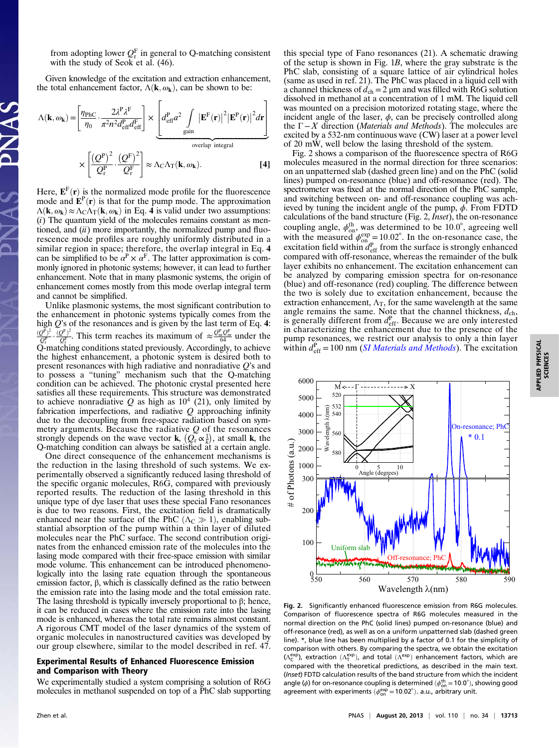from adopting lower  $Q_{\rm r}^{\rm F}$  in general to Q-matching consistent with the study of Seok et al.  $(46)$ .

Given knowledge of the excitation and extraction enhancement, the total enhancement factor,  $\Lambda(\mathbf{k}, \omega_{\mathbf{k}})$ , can be shown to be:

$$
\Lambda(\mathbf{k}, \omega_{\mathbf{k}}) = \left[ \frac{\eta_{\text{PhC}}}{\eta_0} \cdot \frac{2\lambda^P \lambda^F}{\pi^2 n^2 d_{\text{eff}}^P d_{\text{eff}}^F} \right] \times \underbrace{\left[ d_{\text{eff}}^P a^2 \int_{\text{gain}} |\mathbf{E}^F(\mathbf{r})|^2 |\mathbf{E}^P(\mathbf{r})|^2 d\mathbf{r} \right]}_{\text{overlap integral}}
$$
\n
$$
\times \left[ \frac{\left(Q^P\right)^2}{Q_{\text{r}}^P} \cdot \frac{\left(Q^F\right)^2}{Q_{\text{r}}^F} \right] \approx \Lambda_{\text{C}} \Lambda_{\text{T}}(\mathbf{k}, \omega_{\mathbf{k}}). \tag{4}
$$

Here,  $\mathbf{E}^{\text{F}}(\mathbf{r})$  is the normalized mode profile for the fluorescence mode and  $\mathbf{E}^{\text{P}}(\mathbf{r})$  is that for the pump mode. The approximation  $\Lambda(\mathbf{k}, \omega_{\mathbf{k}}) \approx \Lambda_C \Lambda_T(\mathbf{k}, \omega_{\mathbf{k}})$  in Eq. 4 is valid under two assumptions:  $(i)$  The quantum yield of the molecules remains constant as mentioned, and  $(ii)$  more importantly, the normalized pump and fluorescence mode profiles are roughly uniformly distributed in a similar region in space; therefore, the overlap integral in Eq. 4 can be simplified to be  $\alpha^P \times \alpha^F$ . The latter approximation is commonly ignored in photonic systems; however, it can lead to further enhancement. Note that in many plasmonic systems, the origin of enhancement comes mostly from this mode overlap integral term and cannot be simplified.

Unlike plasmonic systems, the most significant contribution to the enhancement in photonic systems typically comes from the high  $Q$ 's of the resonances and is given by the last term of Eq. 4:  $\frac{(Q^P)^2}{Q_r^P} \cdot \frac{(Q^F)^2}{Q_r^F}$ . This term reaches its maximum of  $\approx \frac{Q_m^P Q_m^F}{64}$  under the  $Q_{\text{r}}$  matching conditions stated previously. Accordingly, to achieve the highest enhancement, a photonic system is desired both to present resonances with high radiative and nonradiative  $Q$ 's and to possess a "tuning" mechanism such that the Q-matching condition can be achieved. The photonic crystal presented here satisfies all these requirements. This structure was demonstrated to achieve nonradiative Q as high as  $10^4$  (21), only limited by fabrication imperfections, and radiative  $Q$  approaching infinity due to the decoupling from free-space radiation based on symmetry arguments. Because the radiative  $Q$  of the resonances strongly depends on the wave vector **k**,  $(Q_{\rm r} \propto \frac{1}{k})$ , at small **k**, the Q-matching condition can always be satisfied at a certain angle.

One direct consequence of the enhancement mechanisms is the reduction in the lasing threshold of such systems. We experimentally observed a significantly reduced lasing threshold of the specific organic molecules, R6G, compared with previously reported results. The reduction of the lasing threshold in this unique type of dye laser that uses these special Fano resonances is due to two reasons. First, the excitation field is dramatically enhanced near the surface of the PhC  $(Λ<sub>C</sub> \gg 1)$ , enabling substantial absorption of the pump within a thin layer of diluted molecules near the PhC surface. The second contribution originates from the enhanced emission rate of the molecules into the lasing mode compared with their free-space emission with similar mode volume. This enhancement can be introduced phenomenologically into the lasing rate equation through the spontaneous emission factor, β, which is classically defined as the ratio between the emission rate into the lasing mode and the total emission rate. The lasing threshold is typically inversely proportional to  $\beta$ ; hence, it can be reduced in cases where the emission rate into the lasing mode is enhanced, whereas the total rate remains almost constant. A rigorous CMT model of the laser dynamics of the system of organic molecules in nanostructured cavities was developed by our group elsewhere, similar to the model described in ref. 47.

### Experimental Results of Enhanced Fluorescence Emission and Comparison with Theory

We experimentally studied a system comprising a solution of R6G molecules in methanol suspended on top of a PhC slab supporting

this special type of Fano resonances (21). A schematic drawing of the setup is shown in Fig. 1B, where the gray substrate is the PhC slab, consisting of a square lattice of air cylindrical holes (same as used in ref. 21). The PhC was placed in a liquid cell with a channel thickness of  $d_{ch} = 2 \mu m$  and was filled with R6G solution dissolved in methanol at a concentration of 1 mM. The liquid cell was mounted on a precision motorized rotating stage, where the incident angle of the laser,  $\phi$ , can be precisely controlled along the  $Γ - X$  direction (*Materials and Methods*). The molecules are excited by a 532-nm continuous wave (CW) laser at a power level of 20 mW, well below the lasing threshold of the system.

Fig. 2 shows a comparison of the fluorescence spectra of R6G molecules measured in the normal direction for three scenarios: on an unpatterned slab (dashed green line) and on the PhC (solid lines) pumped on-resonance (blue) and off-resonance (red). The spectrometer was fixed at the normal direction of the PhC sample, and switching between on- and off-resonance coupling was achieved by tuning the incident angle of the pump,  $\phi$ . From FDTD calculations of the band structure (Fig. 2, Inset), the on-resonance coupling angle,  $\phi_{on}^{th}$ , was determined to be 10.0°, agreeing well with the measured  $\phi_{\text{on}}^{\text{exp}} = 10.02^{\circ}$ . In the on-resonance case, the excitation field within  $d_{\text{eff}}^P$  from the surface is strongly enhanced compared with off-resonance, whereas the remainder of the bulk layer exhibits no enhancement. The excitation enhancement can be analyzed by comparing emission spectra for on-resonance (blue) and off-resonance (red) coupling. The difference between the two is solely due to excitation enhancement, because the extraction enhancement,  $\Lambda$ <sub>T</sub>, for the same wavelength at the same angle remains the same. Note that the channel thickness,  $d_{\rm ch}$ , is generally different from  $d_{\text{eff}}^P$ . Because we are only interested in characterizing the enhancement due to the presence of the pump resonances, we restrict our analysis to only a thin layer within  $d_{\text{eff}}^{\text{P}} = 100 \text{ nm}$  (*[SI Materials and Methods](http://www.pnas.org/lookup/suppl/doi:10.1073/pnas.1311866110/-/DCSupplemental/pnas.201311866SI.pdf?targetid=nameddest=STXT)*). The excitation



Fig. 2. Significantly enhanced fluorescence emission from R6G molecules. Comparison of fluorescence spectra of R6G molecules measured in the normal direction on the PhC (solid lines) pumped on-resonance (blue) and off-resonance (red), as well as on a uniform unpatterned slab (dashed green line). \*, blue line has been multiplied by a factor of 0.1 for the simplicity of comparison with others. By comparing the spectra, we obtain the excitation  $(\Lambda_c^{exp})$ , extraction  $(\Lambda_T^{exp})$ , and total  $(\Lambda^{exp})$  enhancement factors, which are compared with the theoretical predictions, as described in the main text. (Inset) FDTD calculation results of the band structure from which the incident angle ( $\phi$ ) for on-resonance coupling is determined  $(\phi_{\text{on}}^{\text{th}} = 10.0^{\circ})$ , showing good agreement with experiments  $(\phi_{on}^{exp} = 10.02^{\circ})$ . a.u., arbitrary unit.

APPLIED PHYSICAL<br>SCIENCES APPLIED PHYSICAL SCIENCES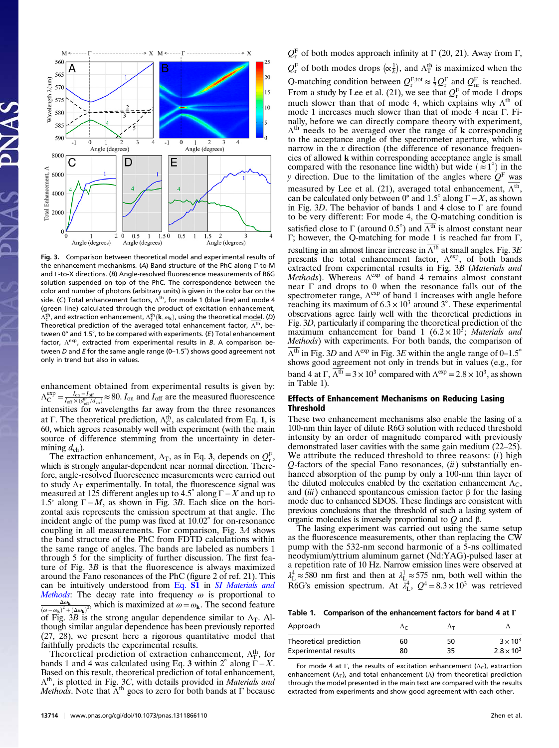

Fig. 3. Comparison between theoretical model and experimental results of the enhancement mechanisms. (A) Band structure of the PhC along Γ-to-M and Γ-to-X directions. (B) Angle-resolved fluorescence measurements of R6G solution suspended on top of the PhC. The correspondence between the color and number of photons (arbitrary units) is given in the color bar on the side. (C) Total enhancement factors,  $\Lambda^{th}$ , for mode 1 (blue line) and mode 4 (green line) calculated through the product of excitation enhancement,  $\Lambda_{\textsf{C}}^{\textsf{th}}$ , and extraction enhancement,  $\Lambda_{\textsf{T}}^{\textsf{th}}(\textbf{k},\omega_{\textbf{k}})$ , using the theoretical model. (D) Theoretical prediction of the averaged total enhancement factor,  $\Lambda^{th}$ , between  $0^\circ$  and 1.5°, to be compared with experiments. (E) Total enhancement factor,  $\Lambda^{\text{exp}}$ , extracted from experimental results in B. A comparison between D and E for the same angle range (0-1.5 $^{\circ}$ ) shows good agreement not only in trend but also in values.

enhancement obtained from experimental results is given by:  $\Lambda_C^{\text{exp}} = \frac{I_{\text{on}} - I_{\text{off}}}{I_{\text{off}} \times (d_{\text{eff}}^P / d_{\text{ch}})} \approx 80$ .  $I_{\text{on}}$  and  $I_{\text{off}}$  are the measured fluorescence intensities for wavelengths far away from the three resonances at Γ. The theoretical prediction,  $\Lambda_C^{th}$ , as calculated from Eq. 1, is 60, which agrees reasonably well with experiment (with the main source of difference stemming from the uncertainty in determining  $d_{\rm ch}$ ).

The extraction enhancement,  $\Lambda_{\rm T}$ , as in Eq. 3, depends on  $Q_{\rm T}^{\rm F}$ , which is strongly angular-dependent near normal direction. Therefore, angle-resolved fluorescence measurements were carried out to study  $\Lambda_T$  experimentally. In total, the fluorescence signal was measured at 125 different angles up to 4.5° along  $\Gamma - X$  and up to 1.5° along  $\Gamma$  − M, as shown in Fig. 3B. Each slice on the horizontal axis represents the emission spectrum at that angle. The incident angle of the pump was fixed at  $10.02^{\circ}$  for on-resonance coupling in all measurements. For comparison, Fig. 3A shows the band structure of the PhC from FDTD calculations within the same range of angles. The bands are labeled as numbers 1 through 5 for the simplicity of further discussion. The first feature of Fig. 3B is that the fluorescence is always maximized around the Fano resonances of the PhC (figure 2 of ref. 21). This can be intuitively understood from [Eq.](http://www.pnas.org/lookup/suppl/doi:10.1073/pnas.1311866110/-/DCSupplemental/pnas.201311866SI.pdf?targetid=nameddest=STXT) S1 in [SI Materials and](http://www.pnas.org/lookup/suppl/doi:10.1073/pnas.1311866110/-/DCSupplemental/pnas.201311866SI.pdf?targetid=nameddest=STXT) [Methods](http://www.pnas.org/lookup/suppl/doi:10.1073/pnas.1311866110/-/DCSupplemental/pnas.201311866SI.pdf?targetid=nameddest=STXT): The decay rate into frequency  $\omega$  is proportional to  $Δω$ <sub>k</sub>  $\frac{\Delta \omega_k}{(\omega - \omega_k)^2 + (\Delta \omega_k)^2}$ , which is maximized at  $\omega = \omega_k$ . The second feature of Fig. 3B is the strong angular dependence similar to  $\Lambda$ <sub>T</sub>. Although similar angular dependence has been previously reported (27, 28), we present here a rigorous quantitative model that faithfully predicts the experimental results.

Theoretical prediction of extraction enhancement,  $\Lambda_{\rm T}^{\rm th}$ , for bands 1 and 4 was calculated using Eq. 3 within  $2^{\circ}$  along  $\Gamma - X$ . Based on this result, theoretical prediction of total enhancement,  $\Lambda^{th}$ , is plotted in Fig. 3C, with details provided in *Materials and Methods*. Note that  $\bar{\Lambda}^{th}$  goes to zero for both bands at  $\Gamma$  because

13714 | <www.pnas.org/cgi/doi/10.1073/pnas.1311866110> **Zhen et al. 2016** Zhen et al.

 $Q_{\rm r}^{\rm F}$  of both modes approach infinity at  $\Gamma$  (20, 21). Away from  $\Gamma$ ,  $Q_{\rm r}^{\rm F}$  of both modes drops  $(\propto \frac{1}{k})$ , and  $\Lambda_{\rm T}^{\rm th}$  is maximized when the Q-matching condition between  $Q_{\rm r}^{\rm F,tot} \approx \frac{1}{2} Q_{\rm r}^{\rm F}$  and  $Q_{\rm nr}^{\rm F}$  is reached. From a study by Lee et al. (21), we see that  $Q_{\rm r}^{\rm F}$  of mode 1 drops much slower than that of mode 4, which explains why  $\Lambda^{th}$  of mode 1 increases much slower than that of mode 4 near Γ. Finally, before we can directly compare theory with experiment,  $\Lambda^{th}$  needs to be averaged over the range of k corresponding to the acceptance angle of the spectrometer aperture, which is narrow in the  $x$  direction (the difference of resonance frequencies of allowed k within corresponding acceptance angle is small compared with the resonance line width) but wide  $(\approx 1^{\circ})$  in the y direction. Due to the limitation of the angles where  $Q<sup>F</sup>$  was measured by Lee et al. (21), averaged total enhancement,  $\overline{\Lambda^{th}}$ , can be calculated only between 0° and 1.5° along  $\Gamma - X$ , as shown in Fig. 3D. The behavior of bands 1 and 4 close to  $\Gamma$  are found to be very different: For mode 4, the Q-matching condition is satisfied close to  $\Gamma$  (around 0.5°) and  $\Lambda^{th}$  is almost constant near Γ; however, the Q-matching for mode 1 is reached far from Γ, resulting in an almost linear increase in  $\overline{\Lambda^{th}}$  at small angles. Fig. 3E presents the total enhancement factor,  $\Lambda^{\text{exp}}$ , of both bands extracted from experimental results in Fig. 3B (Materials and Methods). Whereas  $\Lambda^{\exp}$  of band 4 remains almost constant near Γ and drops to 0 when the resonance falls out of the spectrometer range,  $\Lambda^{\text{exp}}$  of band 1 increases with angle before reaching its maximum of  $6.3 \times 10^3$  around 3°. These experimental observations agree fairly well with the theoretical predictions in Fig. 3D, particularly if comparing the theoretical prediction of the maximum enhancement for band 1 ( $6.2 \times 10^3$ ; Materials and Methods) with experiments. For both bands, the comparison of  $\overline{\Lambda^{th}}$  in Fig. 3D and  $\Lambda^{exp}$  in Fig. 3E within the angle range of 0–1.5° shows good agreement not only in trends but in values (e.g., for band 4 at Γ,  $\overline{\Lambda^{th}}$  = 3 × 10<sup>3</sup> compared with  $\Lambda^{exp}$  = 2.8 × 10<sup>3</sup>, as shown in Table 1).

### Effects of Enhancement Mechanisms on Reducing Lasing Threshold

These two enhancement mechanisms also enable the lasing of a 100-nm thin layer of dilute R6G solution with reduced threshold intensity by an order of magnitude compared with previously demonstrated laser cavities with the same gain medium (22–25). We attribute the reduced threshold to three reasons:  $(i)$  high  $Q$ -factors of the special Fano resonances,  $(ii)$  substantially enhanced absorption of the pump by only a 100-nm thin layer of the diluted molecules enabled by the excitation enhancement  $\Lambda_{\rm C}$ , and (iii) enhanced spontaneous emission factor  $\beta$  for the lasing mode due to enhanced SDOS. These findings are consistent with previous conclusions that the threshold of such a lasing system of organic molecules is inversely proportional to Q and β.

The lasing experiment was carried out using the same setup as the fluorescence measurements, other than replacing the CW pump with the 532-nm second harmonic of a 5-ns collimated neodymium/yttrium aluminum garnet (Nd:YAG)-pulsed laser at a repetition rate of 10 Hz. Narrow emission lines were observed at  $\lambda_L^4 \approx 580$  nm first and then at  $\lambda_L^1 \approx 575$  nm, both well within the R6G's emission spectrum. At  $\lambda_L^4$ ,  $Q^4 = 8.3 \times 10^3$  was retrieved

Table 1. Comparison of the enhancement factors for band 4 at Γ

| Approach                    |    | Λт |                     |
|-----------------------------|----|----|---------------------|
| Theoretical prediction      | 60 | 50 | $3 \times 10^3$     |
| <b>Experimental results</b> | 80 | 35 | $2.8 \times 10^{3}$ |

For mode 4 at Γ, the results of excitation enhancement  $(Λ<sub>C</sub>)$ , extraction enhancement ( $\Lambda$ <sub>T</sub>), and total enhancement ( $\Lambda$ ) from theoretical prediction through the model presented in the main text are compared with the results extracted from experiments and show good agreement with each other.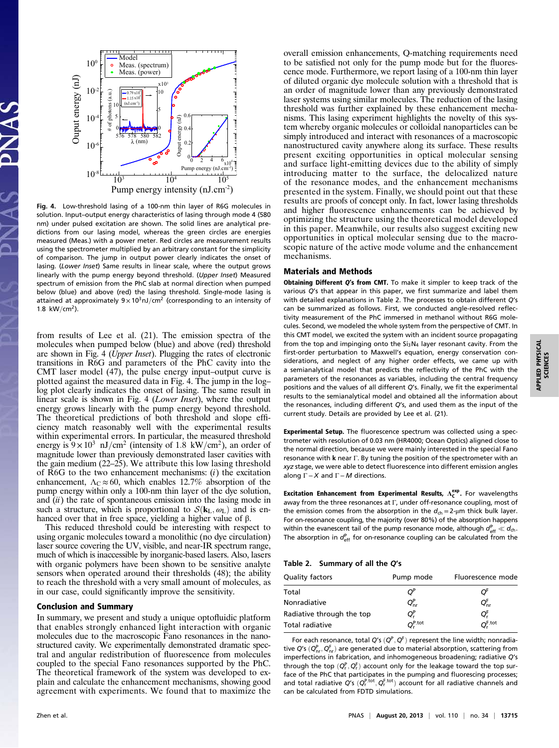

Fig. 4. Low-threshold lasing of a 100-nm thin layer of R6G molecules in solution. Input–output energy characteristics of lasing through mode 4 (580 nm) under pulsed excitation are shown. The solid lines are analytical predictions from our lasing model, whereas the green circles are energies measured (Meas.) with a power meter. Red circles are measurement results using the spectrometer multiplied by an arbitrary constant for the simplicity of comparison. The jump in output power clearly indicates the onset of lasing. (Lower Inset) Same results in linear scale, where the output grows linearly with the pump energy beyond threshold. (Upper Inset) Measured spectrum of emission from the PhC slab at normal direction when pumped below (blue) and above (red) the lasing threshold. Single-mode lasing is attained at approximately  $9 \times 10^3$ nJ/cm<sup>2</sup> (corresponding to an intensity of 1.8  $kW/cm<sup>2</sup>$ ).

from results of Lee et al. (21). The emission spectra of the molecules when pumped below (blue) and above (red) threshold are shown in Fig. 4 (Upper Inset). Plugging the rates of electronic transitions in R6G and parameters of the PhC cavity into the CMT laser model (47), the pulse energy input–output curve is plotted against the measured data in Fig. 4. The jump in the log– log plot clearly indicates the onset of lasing. The same result in linear scale is shown in Fig. 4 (Lower Inset), where the output energy grows linearly with the pump energy beyond threshold. The theoretical predictions of both threshold and slope efficiency match reasonably well with the experimental results within experimental errors. In particular, the measured threshold energy is  $9 \times 10^3$  nJ/cm<sup>2</sup> (intensity of 1.8 kW/cm<sup>2</sup>), an order of magnitude lower than previously demonstrated laser cavities with the gain medium (22–25). We attribute this low lasing threshold of R6G to the two enhancement mechanisms:  $(i)$  the excitation enhancement,  $\Lambda_c \approx 60$ , which enables 12.7% absorption of the pump energy within only a 100-nm thin layer of the dye solution, and  $(ii)$  the rate of spontaneous emission into the lasing mode in such a structure, which is proportional to  $S(\mathbf{k}_L, \omega_L)$  and is enhanced over that in free space, yielding a higher value of β.

This reduced threshold could be interesting with respect to using organic molecules toward a monolithic (no dye circulation) laser source covering the UV, visible, and near-IR spectrum range, much of which is inaccessible by inorganic-based lasers. Also, lasers with organic polymers have been shown to be sensitive analyte sensors when operated around their thresholds (48); the ability to reach the threshold with a very small amount of molecules, as in our case, could significantly improve the sensitivity.

#### Conclusion and Summary

In summary, we present and study a unique optofluidic platform that enables strongly enhanced light interaction with organic molecules due to the macroscopic Fano resonances in the nanostructured cavity. We experimentally demonstrated dramatic spectral and angular redistribution of fluorescence from molecules coupled to the special Fano resonances supported by the PhC. The theoretical framework of the system was developed to explain and calculate the enhancement mechanisms, showing good agreement with experiments. We found that to maximize the

overall emission enhancements, Q-matching requirements need to be satisfied not only for the pump mode but for the fluorescence mode. Furthermore, we report lasing of a 100-nm thin layer of diluted organic dye molecule solution with a threshold that is an order of magnitude lower than any previously demonstrated laser systems using similar molecules. The reduction of the lasing threshold was further explained by these enhancement mechanisms. This lasing experiment highlights the novelty of this system whereby organic molecules or colloidal nanoparticles can be simply introduced and interact with resonances of a macroscopic nanostructured cavity anywhere along its surface. These results present exciting opportunities in optical molecular sensing and surface light-emitting devices due to the ability of simply introducing matter to the surface, the delocalized nature of the resonance modes, and the enhancement mechanisms presented in the system. Finally, we should point out that these results are proofs of concept only. In fact, lower lasing thresholds and higher fluorescence enhancements can be achieved by optimizing the structure using the theoretical model developed in this paper. Meanwhile, our results also suggest exciting new opportunities in optical molecular sensing due to the macroscopic nature of the active mode volume and the enhancement mechanisms.

#### Materials and Methods

Obtaining Different Q's from CMT. To make it simpler to keep track of the various Q's that appear in this paper, we first summarize and label them with detailed explanations in Table 2. The processes to obtain different Q's can be summarized as follows. First, we conducted angle-resolved reflectivity measurement of the PhC immersed in methanol without R6G molecules. Second, we modeled the whole system from the perspective of CMT. In this CMT model, we excited the system with an incident source propagating from the top and impinging onto the  $Si<sub>3</sub>N<sub>4</sub>$  layer resonant cavity. From the first-order perturbation to Maxwell's equation, energy conservation considerations, and neglect of any higher order effects, we came up with a semianalytical model that predicts the reflectivity of the PhC with the parameters of the resonances as variables, including the central frequency positions and the values of all different Q's. Finally, we fit the experimental results to the semianalytical model and obtained all the information about the resonances, including different Q's, and used them as the input of the current study. Details are provided by Lee et al. (21).

Experimental Setup. The fluorescence spectrum was collected using a spectrometer with resolution of 0.03 nm (HR4000; Ocean Optics) aligned close to the normal direction, because we were mainly interested in the special Fano resonance with k near Γ. By tuning the position of the spectrometer with an xyz stage, we were able to detect fluorescence into different emission angles along  $\Gamma$  – X and  $\Gamma$  – M directions.

Excitation Enhancement from Experimental Results,  $\Lambda_c^{exp}$ . For wavelengths away from the three resonances at Γ, under off-resonance coupling, most of the emission comes from the absorption in the  $d_{ch} = 2$ -µm thick bulk layer. For on-resonance coupling, the majority (over 80%) of the absorption happens within the evanescent tail of the pump resonance mode, although  $d_{\text{eff}}^{\text{P}} \ll d_{\text{ch}}$ . The absorption in  $d_{\text{eff}}^{\text{P}}$  for on-resonance coupling can be calculated from the

Table 2. Summary of all the Q's

| Quality factors           | Pump mode                  | Fluorescence mode    |  |
|---------------------------|----------------------------|----------------------|--|
| Total                     | $O^P$                      | O'                   |  |
| Nonradiative              | $Q_{\text{nr}}^{\text{P}}$ | $Q_{nr}^F$           |  |
| Radiative through the top | $Q^P$                      | OF.                  |  |
| <b>Total radiative</b>    | $O_{\cdot}^{\text{P,tot}}$ | $O_r^{\text{F,tot}}$ |  |

For each resonance, total Q's  $(Q^P, Q^F)$  represent the line width; nonradiative Q's  $(Q_{\sf nr}^{\sf P}, Q_{\sf nr}^{\sf F})$  are generated due to material absorption, scattering from imperfections in fabrication, and inhomogeneous broadening; radiative Q's through the top  $(Q_r^{\mathsf{P}}, Q_r^{\mathsf{F}})$  account only for the leakage toward the top surface of the PhC that participates in the pumping and fluorescing processes; and total radiative Q's  $(Q_r^{P,tot}, Q_r^{F,tot})$  account for all radiative channels and can be calculated from FDTD simulations.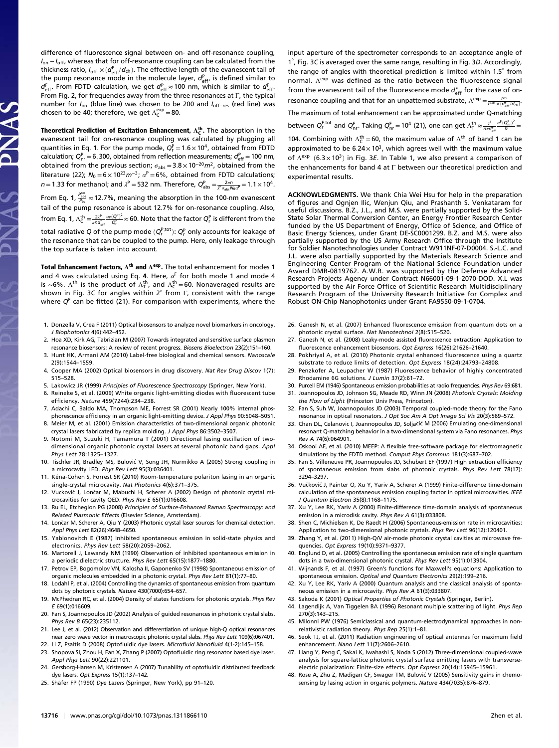difference of fluorescence signal between on- and off-resonance coupling, I<sub>on</sub> − I<sub>off</sub>, whereas that for off-resonance coupling can be calculated from the thickness ratio,  $I_{\text{off}} \times (d_{\text{eff}}^{\text{p}}/d_{\text{ch}})$ . The effective length of the evanescent tail of the pump resonance mode in the molecule layer,  $d_{eff}^{P}$ , is defined similar to  $d_{\text{eff}}^{\text{F}}$ . From FDTD calculation, we get  $d_{\text{eff}}^{\text{P}} \approx$  100 nm, which is similar to  $d_{\text{eff}}^{\text{F}}$ . From Fig. 2, for frequencies away from the three resonances at Γ, the typical number for I<sub>on</sub> (blue line) was chosen to be 200 and I<sub>off−res</sub> (red line) was chosen to be 40; therefore, we get  $\Lambda_{\mathsf{C}}^{\mathsf{exp}}\!=\!80.$ 

Theoretical Prediction of Excitation Enhancement,  $\Lambda_{\mathsf{C}}^{\mathsf{th}}$ . The absorption in the evanescent tail for on-resonance coupling was calculated by plugging all quantities in Eq. 1. For the pump mode,  $Q_{\text{r}}^{\text{P}} = 1.6 \times 10^4$ , obtained from FDTD calculation;  $Q_{\text{nr}}^{\text{P}} = 6,300$ , obtained from reflection measurements;  $d_{\text{eff}}^{\text{P}} = 100$  nm, obtained from the previous section;  $\sigma_{\text{abs}} = 3.8 \times 10^{-20} m^2$ , obtained from the literature (22);  $N_0 = 6 \times 10^{23} m^{-3}$ ;  $\alpha^P = 6\%$ , obtained from FDTD calculations;  $n = 1.33$  for methanol; and  $\lambda^P = 532$  nm. Therefore,  $Q_{\text{abs}}^P = \frac{2\pi n}{\lambda^P \sigma_{\text{abs}} N_0 a^P} = 1.1 \times 10^4$ .

From Eq. 1,  $\frac{P_{\text{abs}}^{\text{res}}}{P_{\text{in}}} \approx 12.7\%$ , meaning the absorption in the 100-nm evanescent tail of the pump resonance is about 12.7% for on-resonance coupling. Also, from Eq. 1,  $\Lambda_{\mathsf{C}}^{\mathsf{th}} = \frac{2\ell^{\mathsf{p}}}{\pi n d_{\mathsf{eff}}^{\mathsf{p}}} \frac{a_{\mathsf{P}}(Q^{\mathsf{p}})^2}{Q_{\mathsf{r}}^{\mathsf{p}}} \approx 60.$  Note that the factor  $Q_{\mathsf{r}}^{\mathsf{p}}$  is different from the

total radiative Q of the pump mode  $(Q_r^{\mathsf{P},\mathsf{tot}})$ :  $Q_r^{\mathsf{P}}$  only accounts for leakage of the resonance that can be coupled to the pump. Here, only leakage through the top surface is taken into account.

Total Enhancement Factors,  $\Lambda^{th}$  and  $\Lambda^{exp}$ . The total enhancement for modes 1 and 4 was calculated using Eq. 4. Here,  $\alpha^F$  for both mode 1 and mode 4 is ~6%.  $\Lambda^{\text{th}}$  is the product of  $\Lambda^{\text{th}}_{\text{T}}$ , and  $\Lambda^{\text{th}}_{\text{C}} =$  60. Nonaveraged results are shown in Fig. 3C for angles within  $2^\circ$  from Γ, consistent with the range where  $Q<sup>F</sup>$  can be fitted (21). For comparison with experiments, where the

- 1. Donzella V, Crea F (2011) Optical biosensors to analyze novel biomarkers in oncology. J Biophotonics 4(6):442–452.
- 2. Hoa XD, Kirk AG, Tabrizian M (2007) Towards integrated and sensitive surface plasmon resonance biosensors: A review of recent progress. Biosens Bioelectron 23(2):151–160.
- 3. Hunt HK, Armani AM (2010) Label-free biological and chemical sensors. Nanoscale 2(9):1544–1559.
- 4. Cooper MA (2002) Optical biosensors in drug discovery. Nat Rev Drug Discov 1(7): 515–528.
- 5. Lakowicz JR (1999) Principles of Fluorescence Spectroscopy (Springer, New York).
- 6. Reineke S, et al. (2009) White organic light-emitting diodes with fluorescent tube efficiency. Nature 459(7244):234–238.
- 7. Adachi C, Baldo MA, Thompson ME, Forrest SR (2001) Nearly 100% internal phosphorescence efficiency in an organic light-emitting device. J Appl Phys 90:5048–5051.
- 8. Meier M, et al. (2001) Emission characteristics of two-dimensional organic photonic crystal lasers fabricated by replica molding. J Appl Phys 86:3502–3507.
- 9. Notomi M, Suzuki H, Tamamura T (2001) Directional lasing oscillation of twodimensional organic photonic crystal lasers at several photonic band gaps. Appl Phys Lett 78:1325–1327.
- 10. Tischler JR, Bradley MS, Bulovic V, Song JH, Nurmikko A (2005) Strong coupling in a microcavity LED. Phys Rev Lett 95(3):036401.
- 11. Kéna-Cohen S, Forrest SR (2010) Room-temperature polariton lasing in an organic single-crystal microcavity. Nat Photonics 4(6):371–375.
- 12. Vuckovic J, Loncar M, Mabuchi H, Scherer A (2002) Design of photonic crystal microcavities for cavity QED. Phys Rev E 65(1):016608.
- 13. Ru EL, Etchegion PG (2008) Principles of Surface-Enhanced Raman Spectroscopy: and Related Plasmonic Effects (Elsevier Science, Amsterdam).
- 14. Lončar M, Scherer A, Qiu Y (2003) Photonic crystal laser sources for chemical detection. Appl Phys Lett 82(26):4648–4650.
- 15. Yablonovitch E (1987) Inhibited spontaneous emission in solid-state physics and electronics. Phys Rev Lett 58(20):2059–2062.
- 16. Martorell J, Lawandy NM (1990) Observation of inhibited spontaneous emission in a periodic dielectric structure. Phys Rev Lett 65(15):1877–1880.
- 17. Petrov EP, Bogomolov VN, Kalosha II, Gaponenko SV (1998) Spontaneous emission of organic molecules embedded in a photonic crystal. Phys Rev Lett 81(1):77–80.
- 18. Lodahl P, et al. (2004) Controlling the dynamics of spontaneous emission from quantum dots by photonic crystals. Nature 430(7000):654–657.
- 19. McPhedran RC, et al. (2004) Density of states functions for photonic crystals. Phys Rev E 69(1):016609.
- 20. Fan S, Joannopoulos JD (2002) Analysis of guided resonances in photonic crystal slabs. Phys Rev B 65(23):235112.
- 21. Lee J, et al. (2012) Observation and differentiation of unique high-Q optical resonances near zero wave vector in macroscopic photonic crystal slabs. Phys Rev Lett 109(6):067401.
- 22. Li Z, Psaltis D (2008) Optofluidic dye lasers. Microfluid Nanofluid 4(1-2):145–158.
- 23. Shopova SI, Zhou H, Fan X, Zhang P (2007) Optofluidic ring resonator based dye laser. Appl Phys Lett 90(22):221101.
- 24. Gersborg-Hansen M, Kristensen A (2007) Tunability of optofluidic distributed feedback dye lasers. Opt Express 15(1):137-142.
- 25. Shäfer FP (1990) Dye Lasers (Springer, New York), pp 91–120.

input aperture of the spectrometer corresponds to an acceptance angle of 1°, Fig. 3C is averaged over the same range, resulting in Fig. 3D. Accordingly, the range of angles with theoretical prediction is limited within 1.5° from normal. Λ<sup>exp</sup> was defined as the ratio between the fluorescence signal from the evanescent tail of the fluorescence mode  $d_{\text{eff}}^{\text{F}}$  for the case of onresonance coupling and that for an unpatterned substrate,  $\Lambda^{exp} = \frac{f^{on}}{f^{lsb} \times (d_{eff}^F/d_{ch})}$ . The maximum of total enhancement can be approximated under Q-matching

between  $Q_r^{F,tot}$  and  $Q_{nr}^F$ . Taking  $Q_{nr}^F = 10^4$  (21), one can get  $\Lambda_T^{\text{th}} \approx \frac{\lambda^F}{n\pi \sigma_{\text{eff}}^F} \frac{\alpha^F (Q_{nr}^F)^2}{8}$ 

104. Combining with  $\Lambda_c^{th}$  = 60, the maximum value of  $\Lambda^{th}$  of band 1 can be approximated to be  $6.24 \times 10^3$ , which agrees well with the maximum value of  $\Lambda^{\rm exp}$  (6.3 × 10<sup>3</sup>) in Fig. 3E. In Table 1, we also present a comparison of the enhancements for band 4 at Γ between our theoretical prediction and experimental results.

ACKNOWLEDGMENTS. We thank Chia Wei Hsu for help in the preparation of figures and Ognjen Ilic, Wenjun Qiu, and Prashanth S. Venkataram for useful discussions. B.Z., J.L., and M.S. were partially supported by the Solid-State Solar Thermal Conversion Center, an Energy Frontier Research Center funded by the US Department of Energy, Office of Science, and Office of Basic Energy Sciences, under Grant DE-SC0001299. B.Z. and M.S. were also partially supported by the US Army Research Office through the Institute for Soldier Nanotechnologies under Contract W911NF-07-D0004. S.-L.C. and J.L. were also partially supported by the Materials Research Science and Engineering Center Program of the National Science Foundation under Award DMR-0819762. A.W.R. was supported by the Defense Advanced Research Projects Agency under Contract N66001-09-1-2070-DOD. X.L was supported by the Air Force Office of Scientific Research Multidisciplinary Research Program of the University Research Initiative for Complex and Robust ON-Chip Nanophotonics under Grant FA9550-09-1-0704.

- 26. Ganesh N, et al. (2007) Enhanced fluorescence emission from quantum dots on a photonic crystal surface. Nat Nanotechnol 2(8):515–520.
- 27. Ganesh N, et al. (2008) Leaky-mode assisted fluorescence extraction: Application to fluorescence enhancement biosensors. Opt Express 16(26):21626–21640.
- 28. Pokhriyal A, et al. (2010) Photonic crystal enhanced fluorescence using a quartz substrate to reduce limits of detection. Opt Express 18(24):24793–24808.
- 29. Penzkofer A, Leupacher W (1987) Fluorescence behavior of highly concentrated Rhodamine 6G solutions. J Lumin 37(2):61–72.
- 30. Purcell EM (1946) Spontaneous emission probabilities at radio frequencies. Phys Rev 69:681. 31. Joannopoulos JD, Johnson SG, Meade RD, Winn JN (2008) Photonic Crystals: Molding
- the Flow of Light (Princeton Univ Press, Princeton). 32. Fan S, Suh W, Joannopoulos JD (2003) Temporal coupled-mode theory for the Fano resonance in optical resonators. J Opt Soc Am A Opt Image Sci Vis 20(3):569–572.
- 33. Chan DL, Celanovic I, Joannopoulos JD, Soljacic M (2006) Emulating one-dimensional resonant Q-matching behavior in a two-dimensional system via Fano resonances. Phys Rev A 74(6):064901.
- 34. Oskooi AF, et al. (2010) MEEP: A flexible free-software package for electromagnetic simulations by the FDTD method. Comput Phys Commun 181(3):687–702.
- 35. Fan S, Villeneuve PR, Joannopoulos JD, Schubert EF (1997) High extraction efficiency of spontaneous emission from slabs of photonic crystals. Phys Rev Lett 78(17): 3294–3297.
- 36. Vuckovic J, Painter O, Xu Y, Yariv A, Scherer A (1999) Finite-difference time-domain calculation of the spontaneous emission coupling factor in optical microcavities. IEEE J Quantum Electron 35(8):1168–1175.
- 37. Xu Y, Lee RK, Yariv A (2000) Finite-difference time-domain analysis of spontaneous emission in a microdisk cavity. Phys Rev A 61(3):033808.
- 38. Shen C, Michielsen K, De Raedt H (2006) Spontaneous-emission rate in microcavities: Application to two-dimensional photonic crystals. Phys Rev Lett 96(12):120401.
- 39. Zhang Y, et al. (2011) High-Q/V air-mode photonic crystal cavities at microwave frequencies. Opt Express 19(10):9371–9377.
- 40. Englund D, et al. (2005) Controlling the spontaneous emission rate of single quantum dots in a two-dimensional photonic crystal. Phys Rev Lett 95(1):013904.
- 41. Wijnands F, et al. (1997) Green's functions for Maxwell's equations: Application to spontaneous emission. Optical and Quantum Electronics 29(2):199–216.
- 42. Xu Y, Lee RK, Yariv A (2000) Quantum analysis and the classical analysis of spontaneous emission in a microcavity. Phys Rev A 61(3):033807.
- 43. Sakoda K (2001) Optical Properties of Photonic Crystals (Springer, Berlin).
- 44. Lagendijk A, Van Tiggelen BA (1996) Resonant multiple scattering of light. Phys Rep 270(3):143–215.
- 45. Milonni PW (1976) Semiclassical and quantum-electrodynamical approaches in nonrelativistic radiation theory. Phys Rep 25(1):1–81.
- 46. Seok TJ, et al. (2011) Radiation engineering of optical antennas for maximum field enhancement. Nano Lett 11(7):2606–2610.
- 47. Liang Y, Peng C, Sakai K, Iwahashi S, Noda S (2012) Three-dimensional coupled-wave analysis for square-lattice photonic crystal surface emitting lasers with transverseelectric polarization: Finite-size effects. Opt Express 20(14):15945–15961.
- 48. Rose A, Zhu Z, Madigan CF, Swager TM, Bulović V (2005) Sensitivity gains in chemosensing by lasing action in organic polymers. Nature 434(7035):876–879.